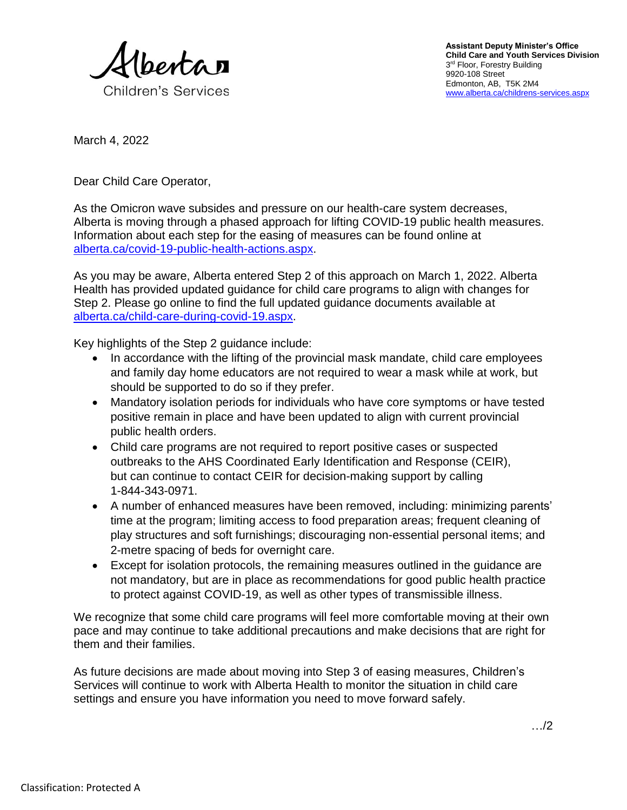

March 4, 2022

Dear Child Care Operator,

As the Omicron wave subsides and pressure on our health-care system decreases, Alberta is moving through a phased approach for lifting COVID-19 public health measures. Information about each step for the easing of measures can be found online at [alberta.ca/covid-19-public-health-actions.aspx.](https://www.alberta.ca/covid-19-public-health-actions.aspx)

As you may be aware, Alberta entered Step 2 of this approach on March 1, 2022. Alberta Health has provided updated guidance for child care programs to align with changes for Step 2. Please go online to find the full updated guidance documents available at [alberta.ca/child-care-during-covid-19.aspx.](http://www.alberta.ca/child-care-during-covid-19.aspx)

Key highlights of the Step 2 guidance include:

- In accordance with the lifting of the provincial mask mandate, child care employees and family day home educators are not required to wear a mask while at work, but should be supported to do so if they prefer.
- Mandatory isolation periods for individuals who have core symptoms or have tested positive remain in place and have been updated to align with current provincial public health orders.
- Child care programs are not required to report positive cases or suspected outbreaks to the AHS Coordinated Early Identification and Response (CEIR), but can continue to contact CEIR for decision-making support by calling 1-844-343-0971.
- A number of enhanced measures have been removed, including: minimizing parents' time at the program; limiting access to food preparation areas; frequent cleaning of play structures and soft furnishings; discouraging non-essential personal items; and 2-metre spacing of beds for overnight care.
- Except for isolation protocols, the remaining measures outlined in the guidance are not mandatory, but are in place as recommendations for good public health practice to protect against COVID-19, as well as other types of transmissible illness.

We recognize that some child care programs will feel more comfortable moving at their own pace and may continue to take additional precautions and make decisions that are right for them and their families.

As future decisions are made about moving into Step 3 of easing measures, Children's Services will continue to work with Alberta Health to monitor the situation in child care settings and ensure you have information you need to move forward safely.